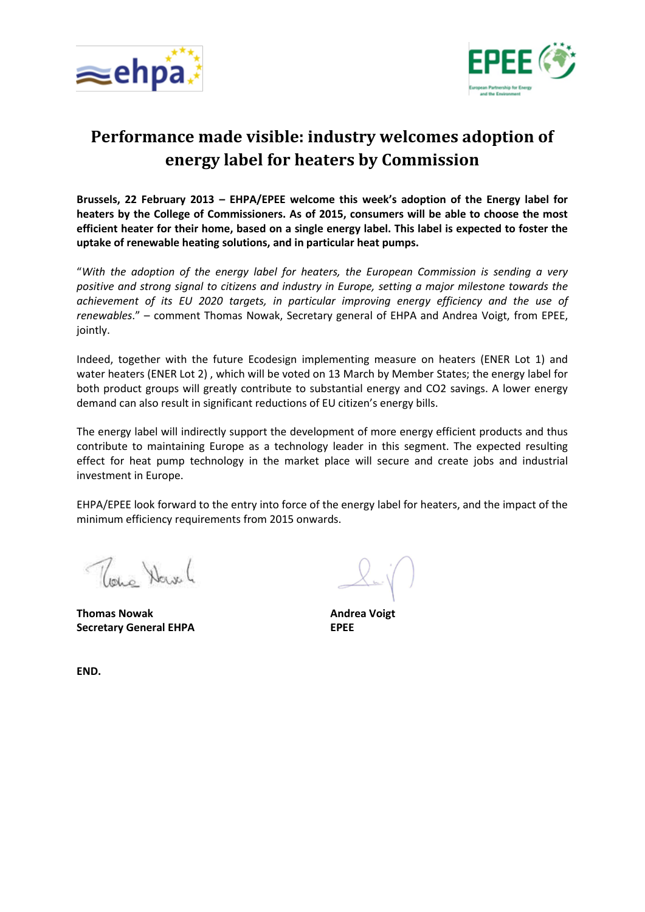



## **Performance made visible: industry welcomes adoption of energy label for heaters by Commission**

**Brussels, 22 February 2013 – EHPA/EPEE welcome this week's adoption of the Energy label for heaters by the College of Commissioners. As of 2015, consumers will be able to choose the most efficient heater for their home, based on a single energy label. This label is expected to foster the uptake of renewable heating solutions, and in particular heat pumps.**

"*With the adoption of the energy label for heaters, the European Commission is sending a very positive and strong signal to citizens and industry in Europe, setting a major milestone towards the achievement of its EU 2020 targets, in particular improving energy efficiency and the use of renewables*." – comment Thomas Nowak, Secretary general of EHPA and Andrea Voigt, from EPEE, jointly.

Indeed, together with the future Ecodesign implementing measure on heaters (ENER Lot 1) and water heaters (ENER Lot 2) , which will be voted on 13 March by Member States; the energy label for both product groups will greatly contribute to substantial energy and CO2 savings. A lower energy demand can also result in significant reductions of EU citizen's energy bills.

The energy label will indirectly support the development of more energy efficient products and thus contribute to maintaining Europe as a technology leader in this segment. The expected resulting effect for heat pump technology in the market place will secure and create jobs and industrial investment in Europe.

EHPA/EPEE look forward to the entry into force of the energy label for heaters, and the impact of the minimum efficiency requirements from 2015 onwards.

The Have

**Thomas Nowak Secretary General EHPA**

**Andrea Voigt EPEE**

**END.**